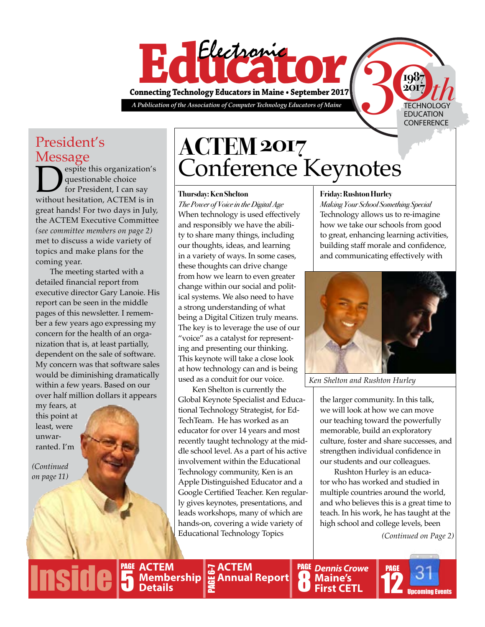

President's

Message<br>
espite this organization's **Despite this organization's**<br>
for President, I can say<br>
without hesitation, ACTEM is in questionable choice for President, I can say great hands! For two days in July, the ACTEM Executive Committee *(see committee members on page 2)* met to discuss a wide variety of topics and make plans for the coming year.

The meeting started with a detailed financial report from executive director Gary Lanoie. His report can be seen in the middle pages of this newsletter. I remember a few years ago expressing my concern for the health of an organization that is, at least partially, dependent on the sale of software. My concern was that software sales would be diminishing dramatically within a few years. Based on our over half million dollars it appears

my fears, at this point at least, were unwarranted. I'm

*(Continued on page 11)*

**PAGE**

# **ACTEM 2017** Conference Keynotes

#### **Thursday: Ken Shelton**

*The Power of Voice in the Digital Age* When technology is used effectively and responsibly we have the ability to share many things, including our thoughts, ideas, and learning in a variety of ways. In some cases, these thoughts can drive change from how we learn to even greater change within our social and political systems. We also need to have a strong understanding of what being a Digital Citizen truly means. The key is to leverage the use of our "voice" as a catalyst for representing and presenting our thinking. This keynote will take a close look at how technology can and is being used as a conduit for our voice.

Ken Shelton is currently the Global Keynote Specialist and Educational Technology Strategist, for [Ed-](https://www.edtechteam.com/)[TechTeam.](https://www.edtechteam.com/) He has worked as an educator for over 14 years and most recently taught technology at the middle school level. As a part of his active involvement within the Educational Technology community, Ken is an Apple Distinguished Educator and a Google Certified Teacher. Ken regularly gives keynotes, presentations, and leads workshops, many of which are hands-on, covering a wide variety of Educational Technology Topics

#### **Friday: Rushton Hurley**

*Making Your School Something Special* Technology allows us to re-imagine how we take our schools from good to great, enhancing learning activities, building staff morale and confidence, and communicating effectively with

**2017**

TECHNOLOGY EDUCATION **CONFERENCE** 



*Ken Shelton and Rushton Hurley*

the larger community. In this talk, we will look at how we can move our teaching toward the powerfully memorable, build an exploratory culture, foster and share successes, and strengthen individual confidence in our students and our colleagues.

Rushton Hurley is an educator who has worked and studied in multiple countries around the world, and who believes this is a great time to teach. In his work, he has taught at the high school and college levels, been

*(Continued on Page 2)*

 $\frac{b}{i!}$ **ACTEM Membership Details**

PAGE

5

**PAGE Annual Report ACTEM**  PAGE 6-7 **Side 5** Membership & Annual Report **8** Maine's The Upcoming Events

*Dennis Crowe* PAGE **Maine's First CETL**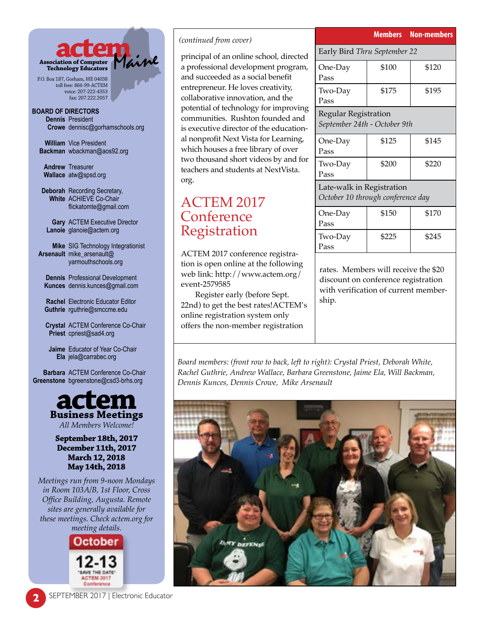

P.O. Box 187, Gorham, ME 04038 toll free: 866-99-ACTEM voice: 207-222-4353 fax: 207.222.2057

#### **BOARD OF DIRECTORS Dennis** President **Crowe** dennisc@gorhamschools.org

**William** Vice President **Backman** wbackman@aos92.org

**Andrew** Treasurer **Wallace** atw@spsd.org

**Deborah** Recording Secretary, **White** ACHIEVE Co-Chair flickatomte@gmail.com

**Gary** ACTEM Executive Director **Lanoie** glanoie@actem.org

**Mike** SIG Technology Integrationist **Arsenault** mike\_arsenault@ yarmouthschools.org

**Dennis** Professional Development **Kunces** dennis.kunces@gmail.com

**Rachel** Electronic Educator Editor **Guthrie** rguthrie@smccme.edu

**Crystal** ACTEM Conference Co-Chair **Priest** cpriest@sad4.org

**Jaime** Educator of Year Co-Chair **Ela** jela@carrabec.org

**Barbara** ACTEM Conference Co-Chair **Greenstone** bgreenstone@csd3-brhs.org



#### **September 18th, 2017 December 11th, 2017 March 12, 2018 May 14th, 2018**

*Meetings run from 9-noon Mondays in Room 103A/B, 1st Floor, Cross Office Building, Augusta. Remote sites are generally available for these meetings. Check actem.org for meeting details.*



#### *(continued from cover)*

principal of an online school, directed a professional development program, and succeeded as a social benefit entrepreneur. He loves creativity, collaborative innovation, and the potential of technology for improving communities. Rushton founded and is executive director of the educational nonprofit Next Vista for Learning, which houses a free library of over two thousand short videos by and for teachers and students at [NextVista.](http://www.nextvista.org/) [org.](http://www.nextvista.org/)

# ACTEM 2017 Conference Registration

ACTEM 2017 conference registration is open online at the following web link: [http://www.actem.org/](http://www.actem.org/event-2579585) [event-2579585](http://www.actem.org/event-2579585)

Register early (before Sept. 22nd) to get the best rates!ACTEM's online registration system only offers the non-member registration

|                                                             |                              | <b>Members Non-members</b> |  |  |
|-------------------------------------------------------------|------------------------------|----------------------------|--|--|
|                                                             | Early Bird Thru September 22 |                            |  |  |
| One-Day<br>Pass                                             | \$100                        | \$120                      |  |  |
| Two-Day<br>Pass                                             | \$175                        | \$195                      |  |  |
| <b>Regular Registration</b><br>September 24th - October 9th |                              |                            |  |  |
| One-Day<br>Pass                                             | \$125                        | \$145                      |  |  |
| Two-Day                                                     | \$200                        | \$220                      |  |  |

Late-walk in Registration *October 10 through conference day*

Pass

| One-Day<br>Pass | \$150 | \$170 |
|-----------------|-------|-------|
| Two-Day<br>Pass | \$225 | \$245 |

rates. Members will receive the \$20 discount on conference registration with verification of current membership.

*Board members: (front row to back, left to right): Crystal Priest, Deborah White, Rachel Guthrie, Andrew Wallace, Barbara Greenstone, Jaime Ela, Will Backman, Dennis Kunces, Dennis Crowe, Mike Arsenault*

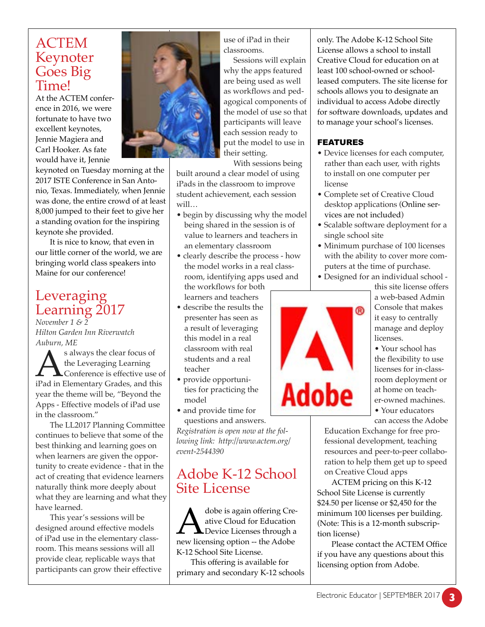### ACTEM Keynoter Goes Big Time!

At the ACTEM conference in 2016, we were fortunate to have two excellent keynotes, Jennie Magiera and Carl Hooker. As fate would have it, Jennie

keynoted on Tuesday morning at the 2017 ISTE Conference in San Antonio, Texas. Immediately, when Jennie

was done, the entire crowd of at least 8,000 jumped to their feet to give her a standing ovation for the inspiring keynote she provided.

It is nice to know, that even in our little corner of the world, we are bringing world class speakers into Maine for our conference!

# Leveraging Learning 2017

*November 1 & 2 Hilton Garden Inn Riverwatch Auburn, ME*

s always the clear focus of<br>the Leveraging Learning<br>iPad in Elementary Grades, and this the Leveraging Learning Conference is effective use of year the theme will be, "Beyond the Apps - Effective models of iPad use in the classroom."

The LL2017 Planning Committee continues to believe that some of the best thinking and learning goes on when learners are given the opportunity to create evidence - that in the act of creating that evidence learners naturally think more deeply about what they are learning and what they have learned.

This year's sessions will be designed around effective models of iPad use in the elementary classroom. This means sessions will all provide clear, replicable ways that participants can grow their effective



use of iPad in their classrooms.

Sessions will explain why the apps featured are being used as well as workflows and pedagogical components of the model of use so that participants will leave each session ready to put the model to use in their setting.

With sessions being

built around a clear model of using iPads in the classroom to improve student achievement, each session will…

- begin by discussing why the model being shared in the session is of value to learners and teachers in an elementary classroom
- clearly describe the process how the model works in a real classroom, identifying apps used and the workflows for both learners and teachers
- describe the results the presenter has seen as a result of leveraging this model in a real classroom with real students and a real teacher
- provide opportunities for practicing the model
- and provide time for questions and answers.

*Registration is open now at the following link: http://www.actem.org/ event-2544390*

# Adobe K-12 School Site License

A dobe is again offering Cre-<br>ative Cloud for Education<br>new licensing option -- the Adobe ative Cloud for Education **L** Device Licenses through a K-12 School Site License.

This offering is available for primary and secondary K-12 schools only. The Adobe K-12 School Site License allows a school to install Creative Cloud for education on at least 100 school-owned or schoolleased computers. The site license for schools allows you to designate an individual to access Adobe directly for software downloads, updates and to manage your school's licenses.

### FEATURES

- Device licenses for each computer, rather than each user, with rights to install on one computer per license
- Complete set of Creative Cloud desktop applications (Online services are not included)
- Scalable software deployment for a single school site
- Minimum purchase of 100 licenses with the ability to cover more computers at the time of purchase.
- Designed for an individual school -



this site license offers a web-based Admin Console that makes it easy to centrally manage and deploy licenses.

• Your school has the flexibility to use licenses for in-classroom deployment or at home on teacher-owned machines. • Your educators

can access the Adobe

Education Exchange for free professional development, teaching resources and peer-to-peer collaboration to help them get up to speed on Creative Cloud apps

ACTEM pricing on this K-12 School Site License is currently \$24.50 per license or \$2,450 for the minimum 100 licenses per building. (Note: This is a 12-month subscription license)

Please contact the ACTEM Office if you have any questions about this licensing option from Adobe.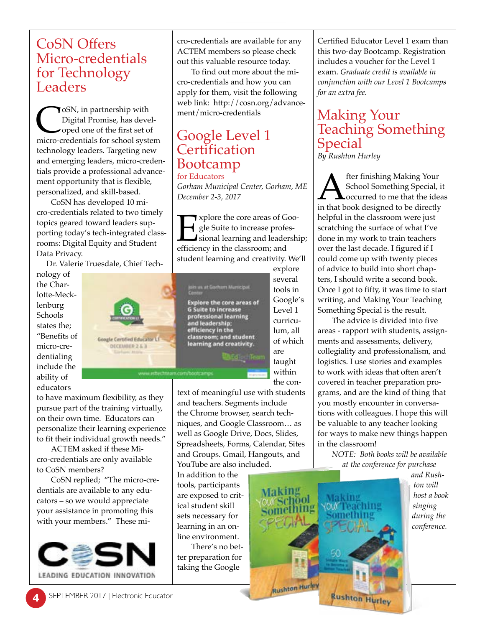### CoSN Offers Micro-credentials for Technology Leaders

CoSN, in partnership with<br>Digital Promise, has devel-<br>oped one of the first set of<br>micro-credentials for school system Digital Promise, has developed one of the first set of technology leaders. Targeting new and emerging leaders, micro-credentials provide a professional advancement opportunity that is flexible, personalized, and skill-based.

CoSN has developed 10 micro-credentials related to two timely topics geared toward leaders supporting today's tech-integrated classrooms: Digital Equity and Student Data Privacy.

Dr. Valerie Truesdale, Chief Tech-

nology of the Charlotte-Mecklenburg Schools states the; "Benefits of micro-credentialing include the ability of educators



to have maximum flexibility, as they pursue part of the training virtually, on their own time. Educators can personalize their learning experience to fit their individual growth needs."

ACTEM asked if these Micro-credentials are only available to CoSN members?

CoSN replied; "The micro-credentials are available to any educators – so we would appreciate your assistance in promoting this with your members." These mi-



cro-credentials are available for any ACTEM members so please check out this valuable resource today.

To find out more about the micro-credentials and how you can apply for them, visit the following web link: http://cosn.org/advancement/micro-credentials

# Google Level 1 **Certification** Bootcamp

for Educators *Gorham Municipal Center, Gorham, ME December 2-3, 2017*

Explore the core areas of Goodynum sple Suite to increase professional learning and leadership efficiency in the classroom; and gle Suite to increase professional learning and leadership; efficiency in the classroom; and student learning and creativity. We'll



explore several tools in Google's Level 1 curriculum, all of which are taught within the con-

text of meaningful use with students and teachers. Segments include the Chrome browser, search techniques, and Google Classroom… as well as Google Drive, Docs, Slides, Spreadsheets, Forms, Calendar, Sites and Groups. Gmail, Hangouts, and YouTube are also included.

In addition to the tools, participants are exposed to critical student skill sets necessary for learning in an online environment.

There's no better preparation for taking the Google

Certified Educator Level 1 exam than this two-day Bootcamp. Registration includes a voucher for the Level 1 exam. *Graduate credit is available in conjunction with our Level 1 Bootcamps for an extra fee.*

### Making Your Teaching Something Special *By Rushton Hurley*

**A** fter finishing Making Your<br>
school Something Special, it<br>
in that book designed to be directly School Something Special, it occurred to me that the ideas helpful in the classroom were just scratching the surface of what I've done in my work to train teachers over the last decade. I figured if I could come up with twenty pieces of advice to build into short chapters, I should write a second book. Once I got to fifty, it was time to start writing, and Making Your Teaching Something Special is the result.

The advice is divided into five areas - rapport with students, assignments and assessments, delivery, collegiality and professionalism, and logistics. I use stories and examples to work with ideas that often aren't covered in teacher preparation programs, and are the kind of thing that you mostly encounter in conversations with colleagues. I hope this will be valuable to any teacher looking for ways to make new things happen in the classroom!

*NOTE: Both books will be available at the conference for purchase* 



*and Rushton will host a book singing during the conference.*

**4** SEPTEMBER 2017 | Electronic Educator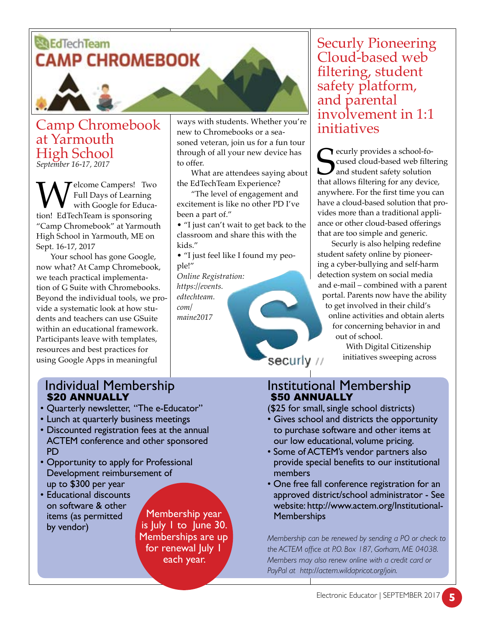# *<u>ALE</u>* Tech Team **CAMP CHROMEBOOK**

Camp Chromebook at Yarmouth High School *September 16-17, 2017*

**W** Full Days of Learning<br>with Google for Education! EdTechTeam is sponsoring Full Days of Learning with Google for Educa-"Camp Chromebook" at Yarmouth High School in Yarmouth, ME on Sept. 16-17, 2017

Your school has gone Google, now what? At Camp Chromebook, we teach practical implementation of G Suite with Chromebooks. Beyond the individual tools, we provide a systematic look at how students and teachers can use GSuite within an educational framework. Participants leave with templates, resources and best practices for using Google Apps in meaningful

ways with students. Whether you're new to Chromebooks or a seasoned veteran, join us for a fun tour through of all your new device has to offer.

What are attendees saying about the EdTechTeam Experience?

"The level of engagement and excitement is like no other PD I've been a part of."

• "I just can't wait to get back to the classroom and share this with the kids."

• "I just feel like I found my people!"

*Online Registration: https://events. edtechteam. com/ maine2017*

Securly Pioneering Cloud-based web filtering, student safety platform, and parental involvement in 1:1 initiatives

Securly provides a school-fo-<br>Cused cloud-based web filtering<br>and student safety solution<br>that allows filtering for any device, ecurly provides a school-focused cloud-based web filtering and student safety solution anywhere. For the first time you can have a cloud-based solution that provides more than a traditional appliance or other cloud-based offerings that are too simple and generic.

Securly is also helping redefine student safety online by pioneering a cyber-bullying and self-harm detection system on social media and e-mail – combined with a parent portal. Parents now have the ability to get involved in their child's online activities and obtain alerts for concerning behavior in and out of school.

With Digital Citizenship initiatives sweeping across

### Individual Membership \$20 ANNUALLY

- Quarterly newsletter, "The e-Educator"
- Lunch at quarterly business meetings
- Discounted registration fees at the annual ACTEM conference and other sponsored PD
- Opportunity to apply for Professional Development reimbursement of up to \$300 per year
- Educational discounts on software & other items (as permitted by vendor)

Membership year is July 1 to June 30. Memberships are up for renewal July 1 each year.

Institutional Membership \$50 ANNUALLY

securly //

(\$25 for small, single school districts)

- Gives school and districts the opportunity to purchase software and other items at our low educational, volume pricing.
- Some of ACTEM's vendor partners also provide special benefits to our institutional members
- One free fall conference registration for an approved district/school administrator - See website: http://www.actem.org/Institutional-**Memberships**

*Membership can be renewed by sending a PO or check to the ACTEM office at P.O. Box 187, Gorham, ME 04038. Members may also renew online with a credit card or PayPal at http://actem.wildapricot.org/join.*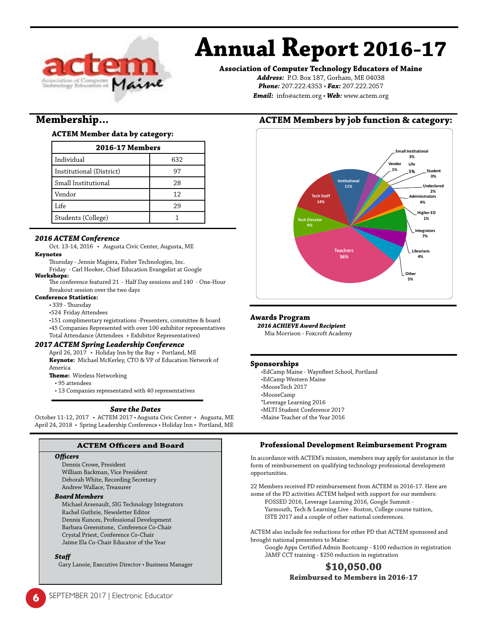

# **Annual Report 2016-17**

#### **Association of Computer Technology Educators of Maine**

*Address:* P.O. Box 187, Gorham, ME 04038 *Phone:* 207.222.4353 • *Fax:* 207.222.2057 *Email:* info@actem.org • *Web:* www.actem.org

### **Membership...**

#### **ACTEM Member data by category:**

| <b>2016-17 Members</b>   |     |  |
|--------------------------|-----|--|
| Individual               | 632 |  |
| Institutional (District) | 97  |  |
| Small Institutional      | 28  |  |
| Vendor                   | 12  |  |
| Life                     | 29  |  |
| Students (College)       |     |  |

#### *2016 ACTEM Conference*

Oct. 13-14, 2016 • Augusta Civic Center, Augusta, ME **Keynotes**

Thursday - Jennie Magiera, Fisher Technologies, Inc.

Friday - Carl Hooker, Chief Education Evangelist at Google **Workshops:**

The conference featured 21 - Half Day sessions and 140 - One-Hour Breakout session over the two days

#### **Conference Statistics:**

• 339 - Thursday

•524 Friday Attendees

•151 complimentary registrations -Presenters, committee & board •45 Companies Represented with over 100 exhibitor representatives Total Attendance (Attendees + Exhibitor Representatives)

#### *2017 ACTEM Spring Leadership Conference*

April 26, 2017 • Holiday Inn by the Bay • Portland, ME **Keynote:** Michael McKerley, CTO & VP of Education Network of America

**Theme:** Wireless Networking

• 95 attendees

• 13 Companies representated with 40 representatives

#### *Save the Dates*

October 11-12, 2017 • ACTEM 2017 • Augusta Civic Center • Augusta, ME April 24, 2018 • Spring Leadership Conference • Holiday Inn • Portland, ME

#### **ACTEM Officers and Board**

#### *Officers*

Dennis Crowe, President William Backman, Vice President Deborah White, Recording Secretary Andrew Wallace, Treasurer

#### *Board Members*

Michael Arsenault, SIG Technology Integrators Rachel Guthrie, Newsletter Editor Dennis Kunces, Professional Development Barbara Greenstone, Conference Co-Chair Crystal Priest, Conference Co-Chair Jaime Ela Co-Chair Educator of the Year

#### *Staff*

Gary Lanoie, Executive Director • Business Manager

### **ACTEM Members by job function & category:**



#### **Awards Program**

*2016 ACHIEVE Award Recipient*

Mia Morrison - Foxcroft Academy

#### **Sponsorships**

•EdCamp Maine - Waynfleet School, Portland •EdCamp Western Maine •MooseTech 2017 •MooseCamp \*Leverage Learning 2016 •MLTI Student Conference 2017 •Maine Teacher of the Year 2016

#### **Professional Development Reimbursement Program**

In accordance with ACTEM's mission, members may apply for assistance in the form of reimbursement on qualifying technology professional development opportunities.

22 Members received PD reimbursement from ACTEM in 2016-17. Here are some of the PD activities ACTEM helped with support for our members: FOSSED 2016, Leverage Learning 2016, Google Summit - Yarmouth, Tech & Learning Live - Boston, College course tuition, ISTE 2017 and a couple of other national conferences.

ACTEM also include fee reductions for other PD that ACTEM sponsored and brought national presenters to Maine:

Google Apps Certified Admin Bootcamp - \$100 reduction in registration JAMF CCT training - \$250 reduction in registration

#### **\$10,050.00 Reimbursed to Members in 2016-17**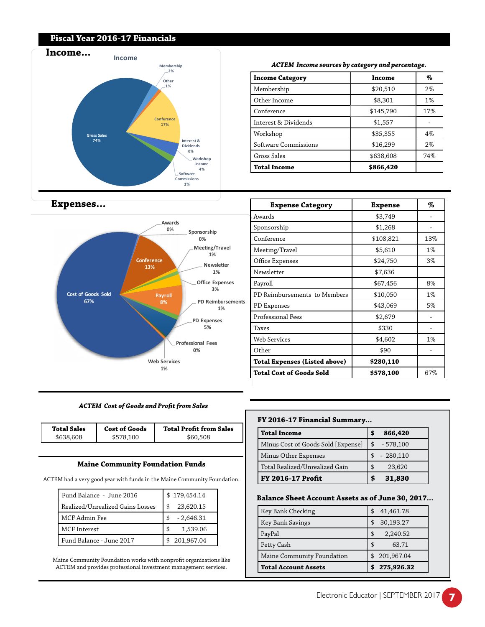#### **Fiscal Year 2016-17 Financials**



#### *ACTEM Income sources by category and percentage.*

| <b>Income Category</b> | Income    | %     |
|------------------------|-----------|-------|
| Membership             | \$20,510  | $2\%$ |
| Other Income           | \$8,301   | $1\%$ |
| Conference             | \$145,790 | 17%   |
| Interest & Dividends   | \$1,557   |       |
| Workshop               | \$35,355  | 4%    |
| Software Commissions   | \$16,299  | $2\%$ |
| Gross Sales            | \$638,608 | 74%   |
| <b>Total Income</b>    | \$866,420 |       |

| <b>Expense Category</b>              | <b>Expense</b> | %     |
|--------------------------------------|----------------|-------|
| Awards                               | \$3,749        |       |
| Sponsorship                          | \$1,268        |       |
| Conference                           | \$108,821      | 13%   |
| Meeting/Travel                       | \$5,610        | $1\%$ |
| Office Expenses                      | \$24,750       | 3%    |
| Newsletter                           | \$7,636        |       |
| Payroll                              | \$67,456       | 8%    |
| PD Reimbursements to Members         | \$10,050       | $1\%$ |
| PD Expenses                          | \$43,069       | 5%    |
| Professional Fees                    | \$2,679        |       |
| Taxes                                | \$330          |       |
| Web Services                         | \$4,602        | $1\%$ |
| Other                                | \$90           |       |
| <b>Total Expenses (Listed above)</b> | \$280,110      |       |
| <b>Total Cost of Goods Sold</b>      | \$578,100      | 67%   |

### **Expenses...**



#### *ACTEM Cost of Goods and Profit from Sales*

| <b>Total Sales</b> | <b>Cost of Goods</b> | <b>Total Profit from Sales</b> |
|--------------------|----------------------|--------------------------------|
| \$638,608          | 100                  | \$60.508                       |

#### **Maine Community Foundation Funds**

ACTEM had a very good year with funds in the Maine Community Foundation.

| Fund Balance - June 2016         | \$179,454.14    |  |  |
|----------------------------------|-----------------|--|--|
| Realized/Unrealized Gains Losses | 23,620.15<br>\$ |  |  |
| MCF Admin Fee                    | $-2,646.31$     |  |  |
| MCF Interest                     | 1,539.06<br>\$  |  |  |
| Fund Balance - June 2017         | 201,967.04      |  |  |

Maine Community Foundation works with nonprofit organizations like ACTEM and provides professional investment management services.

#### **FY 2016-17 Financial Summary...**

| <b>Total Income</b>                |    | 866,420    |
|------------------------------------|----|------------|
| Minus Cost of Goods Sold [Expense] | \$ | $-578,100$ |
| Minus Other Expenses               |    | $-280,110$ |
| Total Realized/Unrealized Gain     | \$ | 23,620     |
| <b>FY 2016-17 Profit</b>           |    | 31,830     |

#### **Balance Sheet Account Assets as of June 30, 2017...**

| Key Bank Checking           |    | 41,461.78  |
|-----------------------------|----|------------|
| Key Bank Savings            |    | 30,193.27  |
| PayPal                      | \$ | 2,240.52   |
| Petty Cash                  |    | 63.71      |
| Maine Community Foundation  |    | 201,967.04 |
| <b>Total Account Assets</b> |    | 275,926.32 |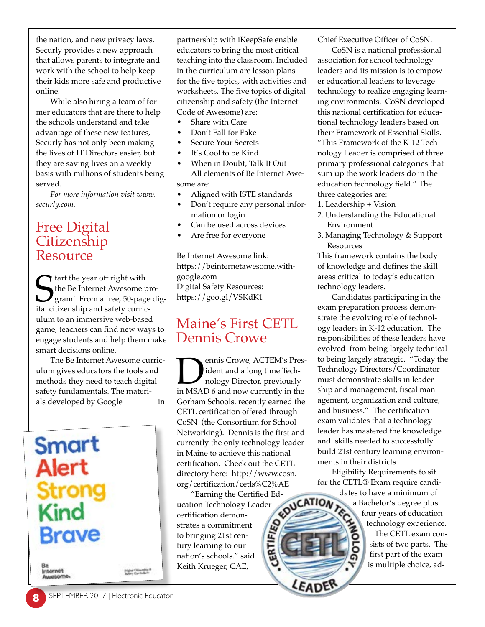the nation, and new privacy laws, Securly provides a new approach that allows parents to integrate and work with the school to help keep their kids more safe and productive online.

While also hiring a team of former educators that are there to help the schools understand and take advantage of these new features, Securly has not only been making the lives of IT Directors easier, but they are saving lives on a weekly basis with millions of students being served.

*For more information visit www. securly.com.*

# Free Digital **Citizenship** Resource

**S** tart the year off right with<br>the Be Internet Awesome p<br>gram! From a free, 50-page<br>ital citizenship and safety curric the Be Internet Awesome program! From a free, 50-page digital citizenship and safety curriculum to an immersive web-based game, teachers can find new ways to engage students and help them make smart decisions online.

The Be Internet Awesome curriculum gives educators the tools and methods they need to teach digital safety fundamentals. The materials developed by Google in



partnership with iKeepSafe enable educators to bring the most critical teaching into the classroom. Included in the curriculum are lesson plans for the five topics, with activities and worksheets. The five topics of digital citizenship and safety (the Internet Code of Awesome) are:

- Share with Care
- Don't Fall for Fake
- Secure Your Secrets
- It's Cool to be Kind
- When in Doubt, Talk It Out All elements of Be Internet Awesome are:
- Aligned with ISTE standards
- Don't require any personal information or login
- Can be used across devices
- Are free for everyone

Be Internet Awesome link: https://beinternetawesome.withgoogle.com Digital Safety Resources: https://goo.gl/VSKdK1

# Maine's First CETL Dennis Crowe

**Dennis Crowe, ACTEM's Pres-**<br>ident and a long time Tech-<br>nology Director, previously<br>in MSAD 6 and now currently in the ident and a long time Technology Director, previously Gorham Schools, recently earned the CETL certification offered through CoSN (the Consortium for School Networking). Dennis is the first and currently the only technology leader in Maine to achieve this national certification. Check out the CETL directory here: http://www.cosn. org/certification/cetls%C2%AE

"Earning the Certified Ed-<br>tion Technology Leader<br>ification demonucation Technology Leader certification demon-**CERTIFIED** strates a commitment to bringing 21st century learning to our nation's schools." said Keith Krueger, CAE,

Chief Executive Officer of CoSN.

CoSN is a national professional association for school technology leaders and its mission is to empower educational leaders to leverage technology to realize engaging learning environments. CoSN developed this national certification for educational technology leaders based on their Framework of Essential Skills. "This Framework of the K-12 Technology Leader is comprised of three primary professional categories that sum up the work leaders do in the education technology field." The three categories are:

- 1. Leadership + Vision
- 2. Understanding the Educational Environment
- 3. Managing Technology & Support Resources

This framework contains the body of knowledge and defines the skill areas critical to today's education technology leaders.

Candidates participating in the exam preparation process demonstrate the evolving role of technology leaders in K-12 education. The responsibilities of these leaders have evolved from being largely technical to being largely strategic. "Today the Technology Directors/Coordinator must demonstrate skills in leadership and management, fiscal management, organization and culture, and business." The certification exam validates that a technology leader has mastered the knowledge and skills needed to successfully build 21st century learning environments in their districts.

Eligibility Requirements to sit for the CETL® Exam require candi-

dates to have a minimum of a Bachelor's degree plus four years of education technology experience.

> The CETL exam consists of two parts. The first part of the exam is multiple choice, ad-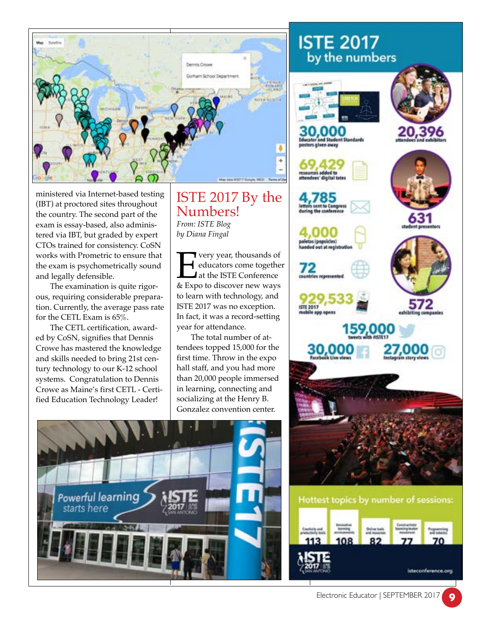

ministered via Internet-based testing (IBT) at proctored sites throughout the country. The second part of the exam is essay-based, also administered via IBT, but graded by expert CTOs trained for consistency. CoSN works with Prometric to ensure that the exam is psychometrically sound and legally defensible.

The examination is quite rigorous, requiring considerable preparation. Currently, the average pass rate for the CETL Exam is 65%.

The CETL certification, awarded by CoSN, signifies that Dennis Crowe has mastered the knowledge and skills needed to bring 21st century technology to our K-12 school systems. Congratulation to Dennis Crowe as Maine's first CETL - Certified Education Technology Leader!

### ISTE 2017 By the Numbers! *From: ISTE Blog by Diana Fingal*

Very year, thousands of<br>
ducators come togethered<br>  $\&$  Expo to discover new ways educators come together at the ISTE Conference to learn with technology, and ISTE 2017 was no exception. In fact, it was a record-setting year for attendance.

The total number of attendees topped 15,000 for the first time. Throw in the expo hall staff, and you had more than 20,000 people immersed in learning, connecting and socializing at the Henry B. Gonzalez convention center.



# **ISTE 2017** by the numbers

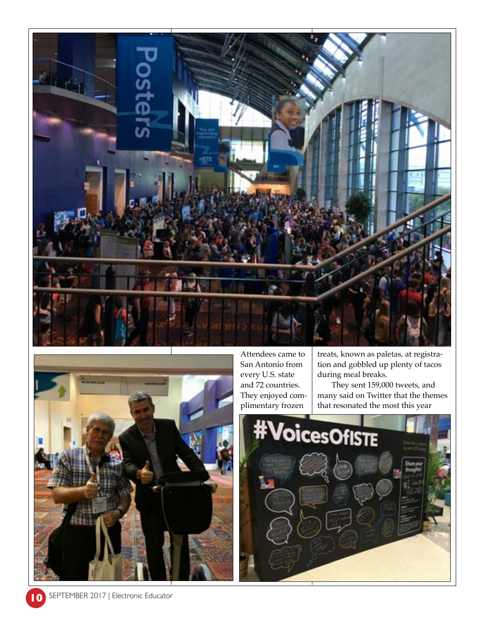



Attendees came to San Antonio from every U.S. state and 72 countries. They enjoyed complimentary frozen

treats, known as paletas, at registration and gobbled up plenty of tacos during meal breaks.

They sent 159,000 tweets, and many said on Twitter that the themes that resonated the most this year

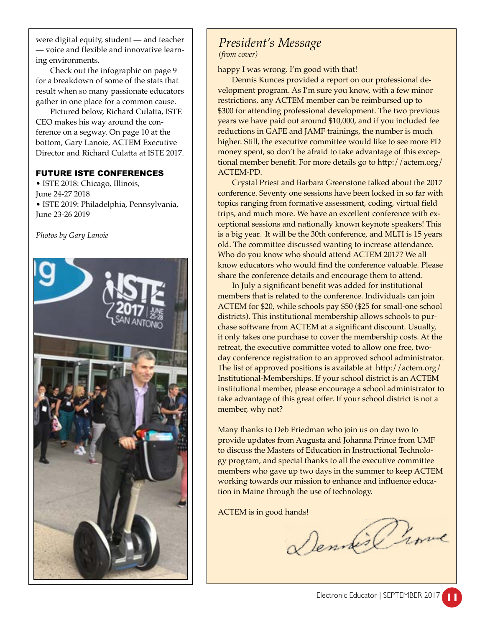were digital equity, student — and teacher — voice and flexible and innovative learning environments.

Check out the infographic on page 9 for a breakdown of some of the stats that result when so many passionate educators gather in one place for a common cause.

Pictured below, Richard Culatta, ISTE CEO makes his way around the conference on a segway. On page 10 at the bottom, Gary Lanoie, ACTEM Executive Director and Richard Culatta at ISTE 2017.

#### FUTURE ISTE CONFERENCES

• ISTE 2018: Chicago, Illinois, June 24-27 2018 • ISTE 2019: Philadelphia, Pennsylvania, June 23-26 2019



*Photos by Gary Lanoie*

### *President's Message (from cover)*

happy I was wrong. I'm good with that!

Dennis Kunces provided a report on our professional development program. As I'm sure you know, with a few minor restrictions, any ACTEM member can be reimbursed up to \$300 for attending professional development. The two previous years we have paid out around \$10,000, and if you included fee reductions in GAFE and JAMF trainings, the number is much higher. Still, the executive committee would like to see more PD money spent, so don't be afraid to take advantage of this exceptional member benefit. For more details go to http://actem.org/ ACTEM-PD.

Crystal Priest and Barbara Greenstone talked about the 2017 conference. Seventy one sessions have been locked in so far with topics ranging from formative assessment, coding, virtual field trips, and much more. We have an excellent conference with exceptional sessions and nationally known keynote speakers! This is a big year. It will be the 30th conference, and MLTI is 15 years old. The committee discussed wanting to increase attendance. Who do you know who should attend ACTEM 2017? We all know educators who would find the conference valuable. Please share the conference details and encourage them to attend.

In July a significant benefit was added for institutional members that is related to the conference. Individuals can join ACTEM for \$20, while schools pay \$50 (\$25 for small-one school districts). This institutional membership allows schools to purchase software from ACTEM at a significant discount. Usually, it only takes one purchase to cover the membership costs. At the retreat, the executive committee voted to allow one free, twoday conference registration to an approved school administrator. The list of approved positions is available at http://actem.org/ Institutional-Memberships. If your school district is an ACTEM institutional member, please encourage a school administrator to take advantage of this great offer. If your school district is not a member, why not?

Many thanks to Deb Friedman who join us on day two to provide updates from Augusta and Johanna Prince from UMF to discuss the Masters of Education in Instructional Technology program, and special thanks to all the executive committee members who gave up two days in the summer to keep ACTEM working towards our mission to enhance and influence education in Maine through the use of technology.

ACTEM is in good hands!